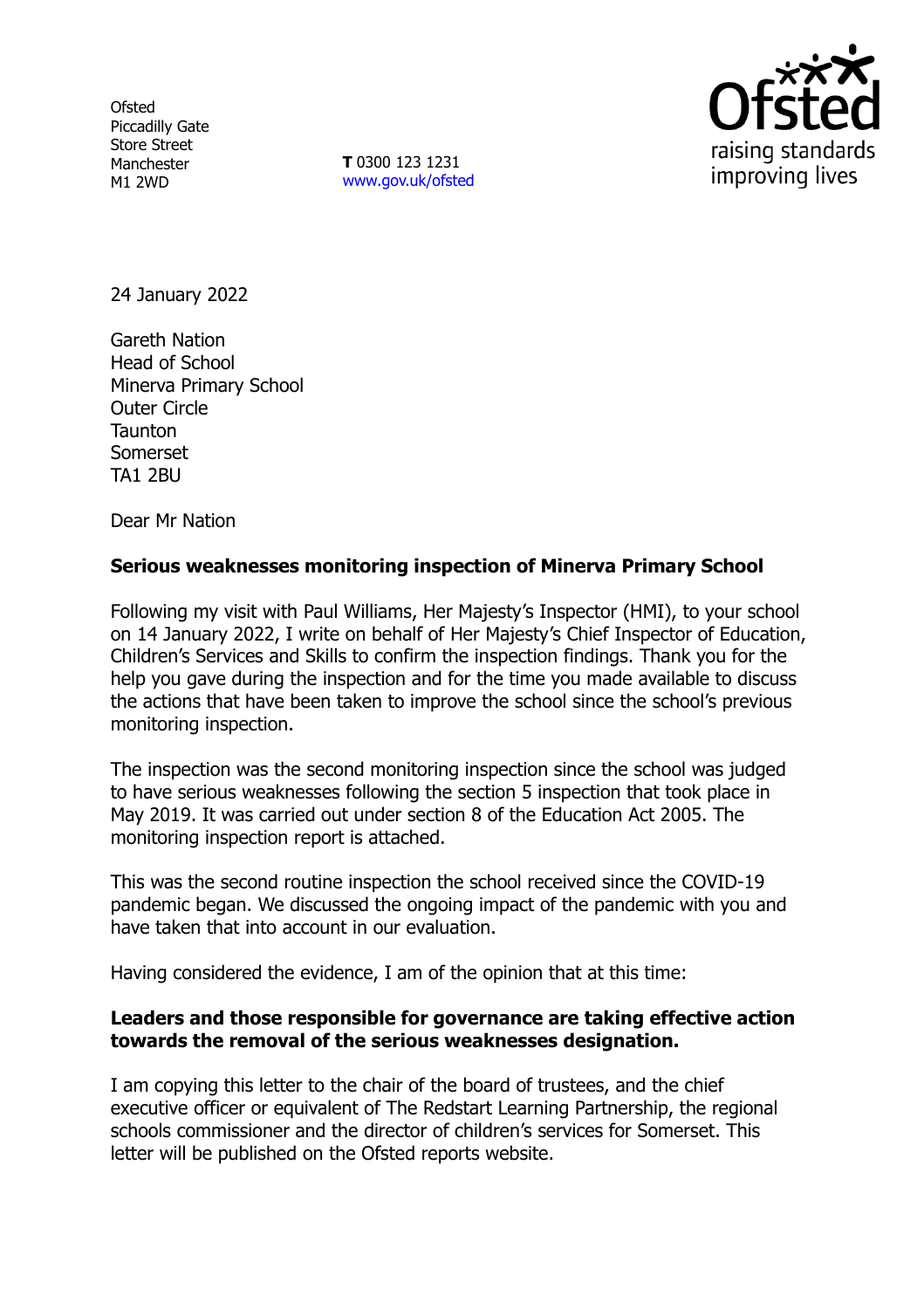**Ofsted** Piccadilly Gate Store Street Manchester M1 2WD

**T** 0300 123 1231 [www.gov.uk/ofsted](http://www.gov.uk/ofsted)



24 January 2022

Gareth Nation Head of School Minerva Primary School Outer Circle **Taunton** Somerset TA1 2BU

Dear Mr Nation

## **Serious weaknesses monitoring inspection of Minerva Primary School**

Following my visit with Paul Williams, Her Majesty's Inspector (HMI), to your school on 14 January 2022, I write on behalf of Her Majesty's Chief Inspector of Education, Children's Services and Skills to confirm the inspection findings. Thank you for the help you gave during the inspection and for the time you made available to discuss the actions that have been taken to improve the school since the school's previous monitoring inspection.

The inspection was the second monitoring inspection since the school was judged to have serious weaknesses following the section 5 inspection that took place in May 2019. It was carried out under section 8 of the Education Act 2005. The monitoring inspection report is attached.

This was the second routine inspection the school received since the COVID-19 pandemic began. We discussed the ongoing impact of the pandemic with you and have taken that into account in our evaluation.

Having considered the evidence, I am of the opinion that at this time:

#### **Leaders and those responsible for governance are taking effective action towards the removal of the serious weaknesses designation.**

I am copying this letter to the chair of the board of trustees, and the chief executive officer or equivalent of The Redstart Learning Partnership, the regional schools commissioner and the director of children's services for Somerset. This letter will be published on the Ofsted reports website.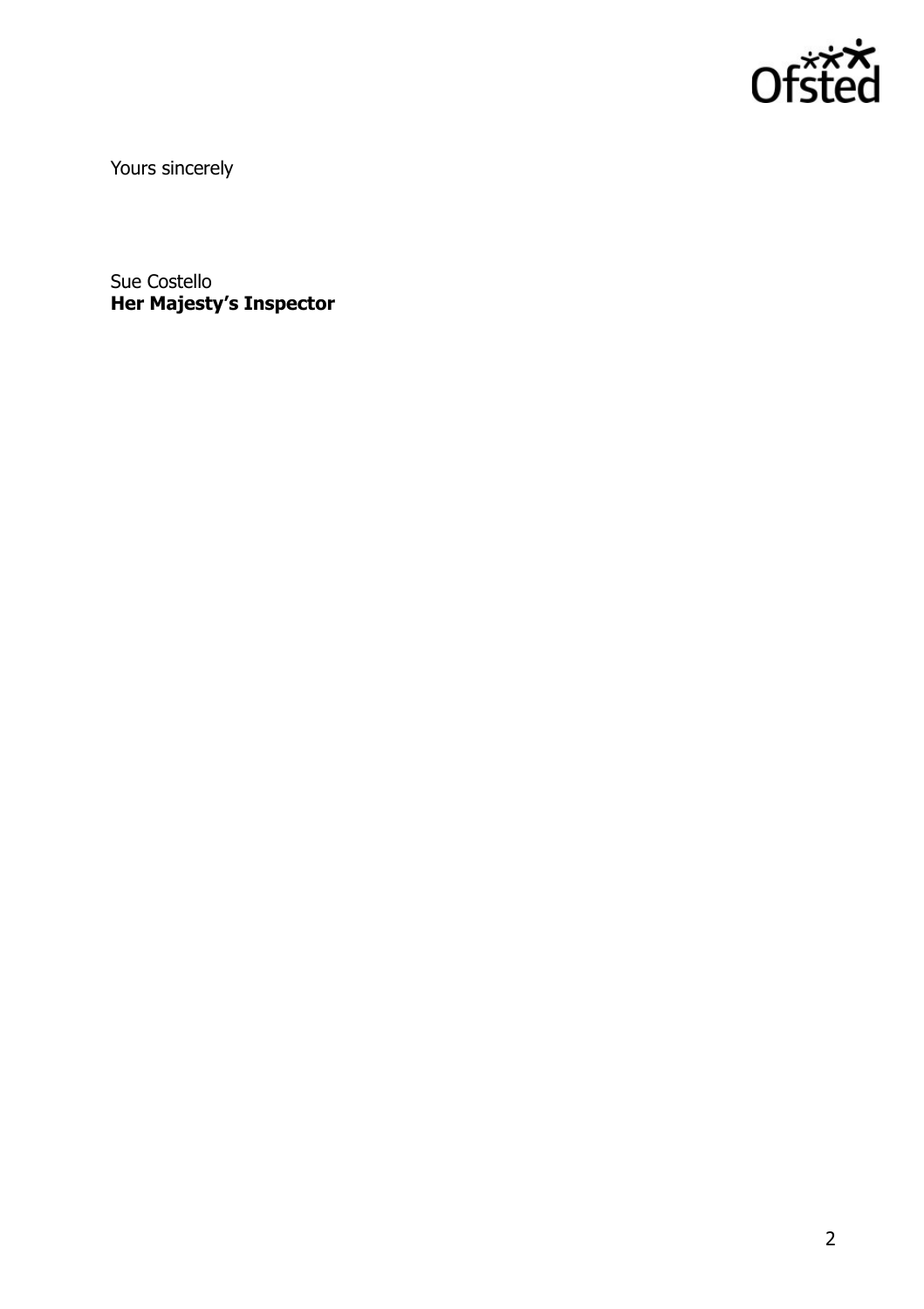

Yours sincerely

Sue Costello **Her Majesty's Inspector**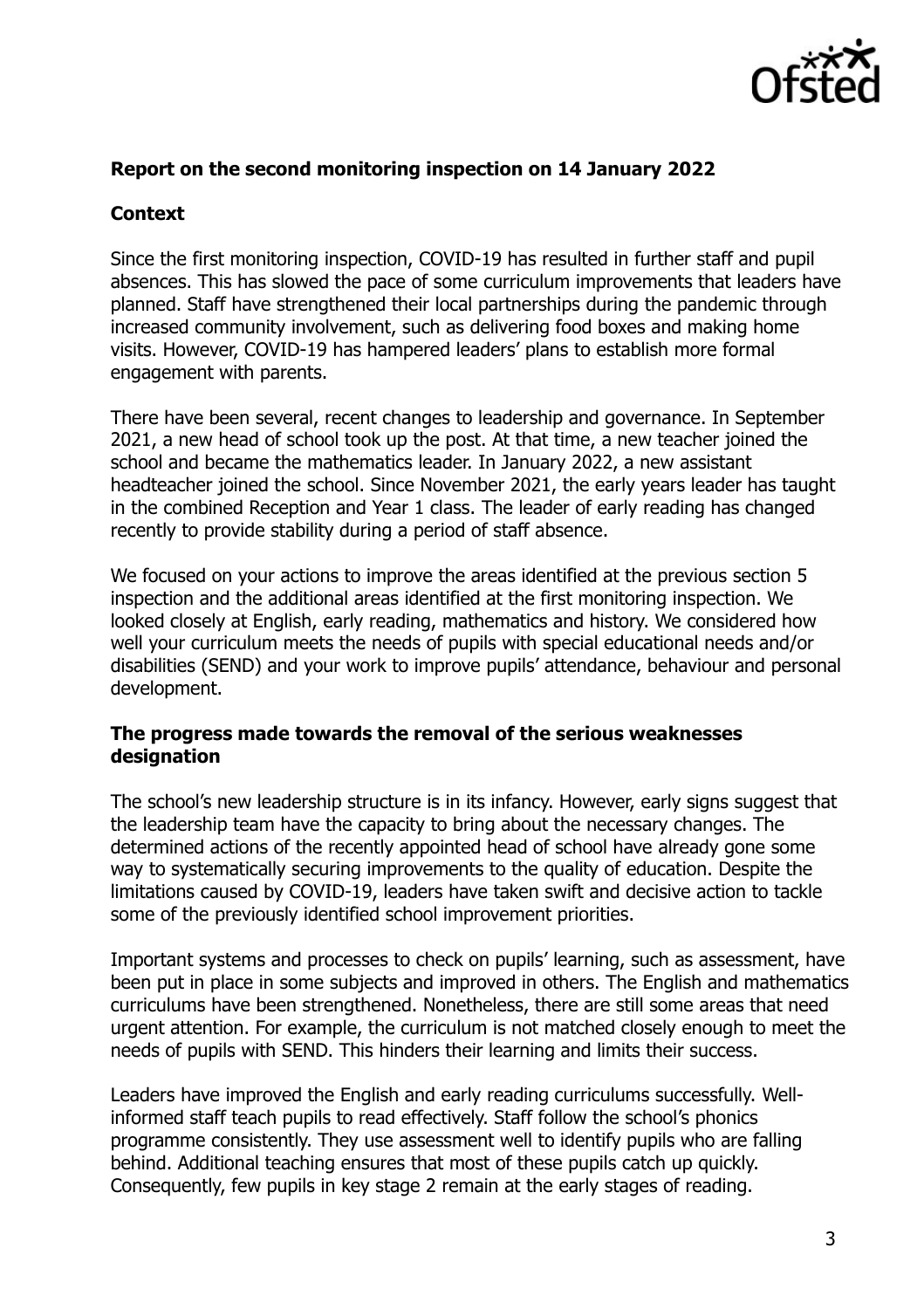

## **Report on the second monitoring inspection on 14 January 2022**

# **Context**

Since the first monitoring inspection, COVID-19 has resulted in further staff and pupil absences. This has slowed the pace of some curriculum improvements that leaders have planned. Staff have strengthened their local partnerships during the pandemic through increased community involvement, such as delivering food boxes and making home visits. However, COVID-19 has hampered leaders' plans to establish more formal engagement with parents.

There have been several, recent changes to leadership and governance. In September 2021, a new head of school took up the post. At that time, a new teacher joined the school and became the mathematics leader. In January 2022, a new assistant headteacher joined the school. Since November 2021, the early years leader has taught in the combined Reception and Year 1 class. The leader of early reading has changed recently to provide stability during a period of staff absence.

We focused on your actions to improve the areas identified at the previous section 5 inspection and the additional areas identified at the first monitoring inspection. We looked closely at English, early reading, mathematics and history. We considered how well your curriculum meets the needs of pupils with special educational needs and/or disabilities (SEND) and your work to improve pupils' attendance, behaviour and personal development.

#### **The progress made towards the removal of the serious weaknesses designation**

The school's new leadership structure is in its infancy. However, early signs suggest that the leadership team have the capacity to bring about the necessary changes. The determined actions of the recently appointed head of school have already gone some way to systematically securing improvements to the quality of education. Despite the limitations caused by COVID-19, leaders have taken swift and decisive action to tackle some of the previously identified school improvement priorities.

Important systems and processes to check on pupils' learning, such as assessment, have been put in place in some subjects and improved in others. The English and mathematics curriculums have been strengthened. Nonetheless, there are still some areas that need urgent attention. For example, the curriculum is not matched closely enough to meet the needs of pupils with SEND. This hinders their learning and limits their success.

Leaders have improved the English and early reading curriculums successfully. Wellinformed staff teach pupils to read effectively. Staff follow the school's phonics programme consistently. They use assessment well to identify pupils who are falling behind. Additional teaching ensures that most of these pupils catch up quickly. Consequently, few pupils in key stage 2 remain at the early stages of reading.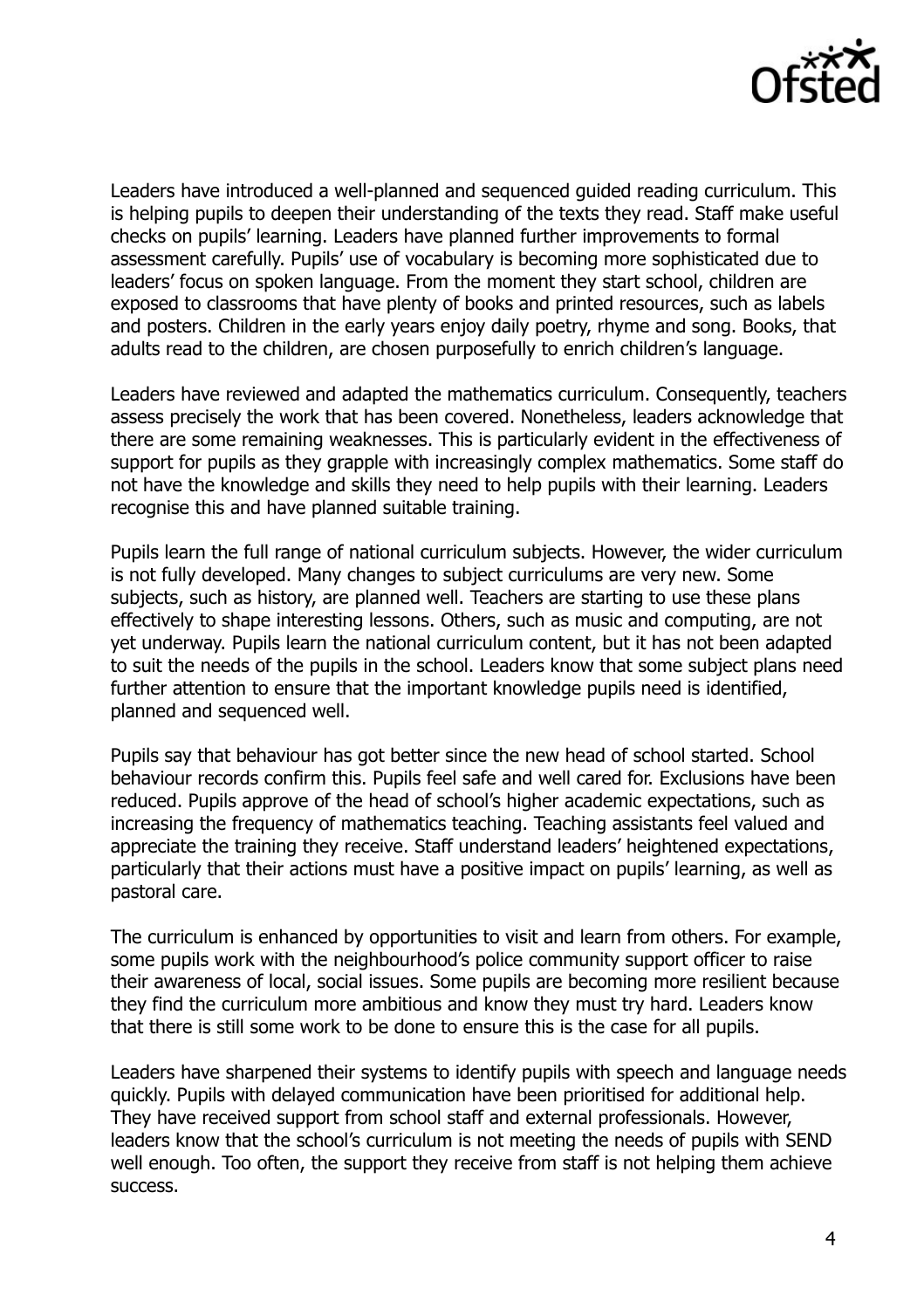

Leaders have introduced a well-planned and sequenced guided reading curriculum. This is helping pupils to deepen their understanding of the texts they read. Staff make useful checks on pupils' learning. Leaders have planned further improvements to formal assessment carefully. Pupils' use of vocabulary is becoming more sophisticated due to leaders' focus on spoken language. From the moment they start school, children are exposed to classrooms that have plenty of books and printed resources, such as labels and posters. Children in the early years enjoy daily poetry, rhyme and song. Books, that adults read to the children, are chosen purposefully to enrich children's language.

Leaders have reviewed and adapted the mathematics curriculum. Consequently, teachers assess precisely the work that has been covered. Nonetheless, leaders acknowledge that there are some remaining weaknesses. This is particularly evident in the effectiveness of support for pupils as they grapple with increasingly complex mathematics. Some staff do not have the knowledge and skills they need to help pupils with their learning. Leaders recognise this and have planned suitable training.

Pupils learn the full range of national curriculum subjects. However, the wider curriculum is not fully developed. Many changes to subject curriculums are very new. Some subjects, such as history, are planned well. Teachers are starting to use these plans effectively to shape interesting lessons. Others, such as music and computing, are not yet underway. Pupils learn the national curriculum content, but it has not been adapted to suit the needs of the pupils in the school. Leaders know that some subject plans need further attention to ensure that the important knowledge pupils need is identified, planned and sequenced well.

Pupils say that behaviour has got better since the new head of school started. School behaviour records confirm this. Pupils feel safe and well cared for. Exclusions have been reduced. Pupils approve of the head of school's higher academic expectations, such as increasing the frequency of mathematics teaching. Teaching assistants feel valued and appreciate the training they receive. Staff understand leaders' heightened expectations, particularly that their actions must have a positive impact on pupils' learning, as well as pastoral care.

The curriculum is enhanced by opportunities to visit and learn from others. For example, some pupils work with the neighbourhood's police community support officer to raise their awareness of local, social issues. Some pupils are becoming more resilient because they find the curriculum more ambitious and know they must try hard. Leaders know that there is still some work to be done to ensure this is the case for all pupils.

Leaders have sharpened their systems to identify pupils with speech and language needs quickly. Pupils with delayed communication have been prioritised for additional help. They have received support from school staff and external professionals. However, leaders know that the school's curriculum is not meeting the needs of pupils with SEND well enough. Too often, the support they receive from staff is not helping them achieve success.